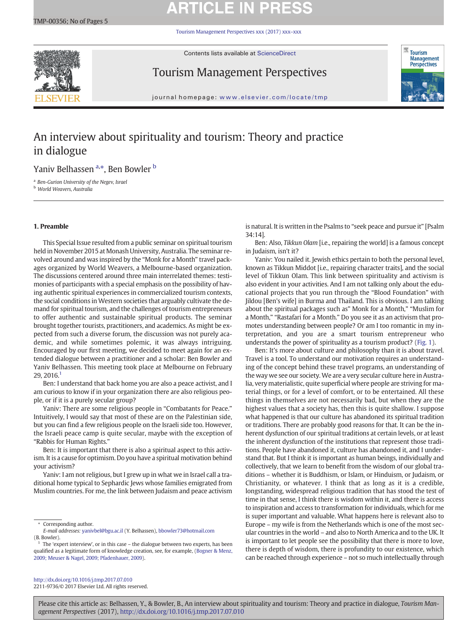# **ARTICLE IN PRESS**

[Tourism Management Perspectives xxx \(2017\) xxx](http://dx.doi.org/10.1016/j.tmp.2017.07.010)–xxx



Contents lists available at ScienceDirect

Tourism Management Perspectives



journal homepage: <www.elsevier.com/locate/tmp>

## An interview about spirituality and tourism: Theory and practice in dialogue

Yaniv Belhassen <sup>a,</sup>\*, Ben Bowler <sup>b</sup>

<sup>a</sup> Ben-Gurion University of the Negev, Israel

**b** World Weavers, Australia

This Special Issue resulted from a public seminar on spiritual tourism held in November 2015 at Monash University, Australia. The seminar revolved around and was inspired by the "Monk for a Month" travel packages organized by World Weavers, a Melbourne-based organization. The discussions centered around three main interrelated themes: testimonies of participants with a special emphasis on the possibility of having authentic spiritual experiences in commercialized tourism contexts, the social conditions in Western societies that arguably cultivate the demand for spiritual tourism, and the challenges of tourism entrepreneurs to offer authentic and sustainable spiritual products. The seminar brought together tourists, practitioners, and academics. As might be expected from such a diverse forum, the discussion was not purely academic, and while sometimes polemic, it was always intriguing. Encouraged by our first meeting, we decided to meet again for an extended dialogue between a practitioner and a scholar: Ben Bowler and Yaniv Belhassen. This meeting took place at Melbourne on February 29, 2016.1

Ben: I understand that back home you are also a peace activist, and I am curious to know if in your organization there are also religious people, or if it is a purely secular group?

Yaniv: There are some religious people in "Combatants for Peace." Intuitively, I would say that most of these are on the Palestinian side, but you can find a few religious people on the Israeli side too. However, the Israeli peace camp is quite secular, maybe with the exception of "Rabbis for Human Rights."

Ben: It is important that there is also a spiritual aspect to this activism. It is a cause for optimism. Do you have a spiritual motivation behind your activism?

Yaniv: I am not religious, but I grew up in what we in Israel call a traditional home typical to Sephardic Jews whose families emigrated from Muslim countries. For me, the link between Judaism and peace activism is natural. It is written in the Psalms to "seek peace and pursue it" [Psalm 34:14].

Ben: Also, Tikkun Olam [i.e., repairing the world] is a famous concept in Judaism, isn't it?

Yaniv: You nailed it. Jewish ethics pertain to both the personal level, known as Tikkun Middot [i.e., repairing character traits], and the social level of Tikkun Olam. This link between spirituality and activism is also evident in your activities. And I am not talking only about the educational projects that you run through the "Blood Foundation" with Jildou [Ben's wife] in Burma and Thailand. This is obvious. I am talking about the spiritual packages such as" Monk for a Month," "Muslim for a Month," "Rastafari for a Month." Do you see it as an activism that promotes understanding between people? Or am I too romantic in my interpretation, and you are a smart tourism entrepreneur who understands the power of spirituality as a tourism product? ([Fig. 1](#page-1-0)).

Ben: It's more about culture and philosophy than it is about travel. Travel is a tool. To understand our motivation requires an understanding of the concept behind these travel programs, an understanding of the way we see our society. We are a very secular culture here in Australia, very materialistic, quite superficial where people are striving for material things, or for a level of comfort, or to be entertained. All these things in themselves are not necessarily bad, but when they are the highest values that a society has, then this is quite shallow. I suppose what happened is that our culture has abandoned its spiritual tradition or traditions. There are probably good reasons for that. It can be the inherent dysfunction of our spiritual traditions at certain levels, or at least the inherent dysfunction of the institutions that represent those traditions. People have abandoned it, culture has abandoned it, and I understand that. But I think it is important as human beings, individually and collectively, that we learn to benefit from the wisdom of our global traditions – whether it is Buddhism, or Islam, or Hinduism, or Judaism, or Christianity, or whatever. I think that as long as it is a credible, longstanding, widespread religious tradition that has stood the test of time in that sense, I think there is wisdom within it, and there is access to inspiration and access to transformation for individuals, which for me is super important and valuable. What happens here is relevant also to Europe – my wife is from the Netherlands which is one of the most secular countries in the world – and also to North America and to the UK. It is important to let people see the possibility that there is more to love, there is depth of wisdom, there is profundity to our existence, which can be reached through experience – not so much intellectually through

<http://dx.doi.org/10.1016/j.tmp.2017.07.010> 2211-9736/© 2017 Elsevier Ltd. All rights reserved.

Please cite this article as: Belhassen, Y., & Bowler, B., An interview about spirituality and tourism: Theory and practice in dialogue, Tourism Management Perspectives (2017), <http://dx.doi.org/10.1016/j.tmp.2017.07.010>

Corresponding author.

E-mail addresses: yanivbel@bgu.ac.il (Y. Belhassen), [bbowler73@hotmail.com](mailto:bbowler73@hotmail.com) (B. Bowler).

The 'expert interview', or in this case - the dialogue between two experts, has been qualified as a legitimate form of knowledge creation, see, for example, [\(Bogner & Menz,](#page-4-0) [2009; Meuser & Nagel, 2009; Pfadenhauer, 2009\)](#page-4-0).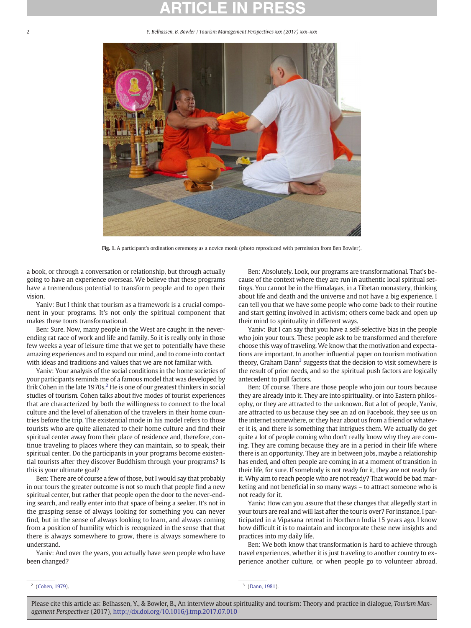<span id="page-1-0"></span>2 Y. Belhassen, B. Bowler / Tourism Management Perspectives xxx (2017) xxx–xxx



Fig. 1. A participant's ordination ceremony as a novice monk (photo reproduced with permission from Ben Bowler).

a book, or through a conversation or relationship, but through actually going to have an experience overseas. We believe that these programs have a tremendous potential to transform people and to open their vision.

Yaniv: But I think that tourism as a framework is a crucial component in your programs. It's not only the spiritual component that makes these tours transformational.

Ben: Sure. Now, many people in the West are caught in the neverending rat race of work and life and family. So it is really only in those few weeks a year of leisure time that we get to potentially have these amazing experiences and to expand our mind, and to come into contact with ideas and traditions and values that we are not familiar with.

Yaniv: Your analysis of the social conditions in the home societies of your participants reminds me of a famous model that was developed by Erik Cohen in the late 1970s. $<sup>2</sup>$  He is one of our greatest thinkers in social</sup> studies of tourism. Cohen talks about five modes of tourist experiences that are characterized by both the willingness to connect to the local culture and the level of alienation of the travelers in their home countries before the trip. The existential mode in his model refers to those tourists who are quite alienated to their home culture and find their spiritual center away from their place of residence and, therefore, continue traveling to places where they can maintain, so to speak, their spiritual center. Do the participants in your programs become existential tourists after they discover Buddhism through your programs? Is this is your ultimate goal?

Ben: There are of course a few of those, but I would say that probably in our tours the greater outcome is not so much that people find a new spiritual center, but rather that people open the door to the never-ending search, and really enter into that space of being a seeker. It's not in the grasping sense of always looking for something you can never find, but in the sense of always looking to learn, and always coming from a position of humility which is recognized in the sense that that there is always somewhere to grow, there is always somewhere to understand.

Yaniv: And over the years, you actually have seen people who have been changed?

Ben: Absolutely. Look, our programs are transformational. That's because of the context where they are run in authentic local spiritual settings. You cannot be in the Himalayas, in a Tibetan monastery, thinking about life and death and the universe and not have a big experience. I can tell you that we have some people who come back to their routine and start getting involved in activism; others come back and open up their mind to spirituality in different ways.

Yaniv: But I can say that you have a self-selective bias in the people who join your tours. These people ask to be transformed and therefore choose this way of traveling. We know that the motivation and expectations are important. In another influential paper on tourism motivation theory, Graham Dann<sup>3</sup> suggests that the decision to visit somewhere is the result of prior needs, and so the spiritual push factors are logically antecedent to pull factors.

Ben: Of course. There are those people who join our tours because they are already into it. They are into spirituality, or into Eastern philosophy, or they are attracted to the unknown. But a lot of people, Yaniv, are attracted to us because they see an ad on Facebook, they see us on the internet somewhere, or they hear about us from a friend or whatever it is, and there is something that intrigues them. We actually do get quite a lot of people coming who don't really know why they are coming. They are coming because they are in a period in their life where there is an opportunity. They are in between jobs, maybe a relationship has ended, and often people are coming in at a moment of transition in their life, for sure. If somebody is not ready for it, they are not ready for it. Why aim to reach people who are not ready? That would be bad marketing and not beneficial in so many ways – to attract someone who is not ready for it.

Yaniv: How can you assure that these changes that allegedly start in your tours are real and will last after the tour is over? For instance, I participated in a Vipasana retreat in Northern India 15 years ago. I know how difficult it is to maintain and incorporate these new insights and practices into my daily life.

Ben: We both know that transformation is hard to achieve through travel experiences, whether it is just traveling to another country to experience another culture, or when people go to volunteer abroad.

 $2^2$  [\(Cohen, 1979](#page-4-0)).  $3^3$  [\(Dann, 1981](#page-4-0)).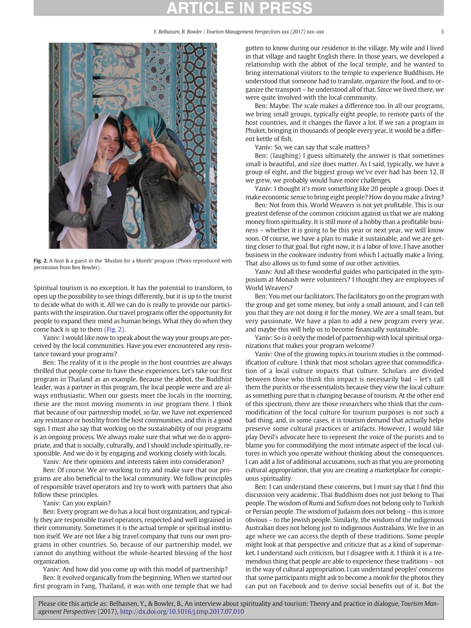Y. Belhassen, B. Bowler / Tourism Management Perspectives xxx (2017) xxx-xxx



Fig. 2. A host & a guest in the 'Muslim for a Month' program (Photo reproduced with permission from Ben Bowler).

Spiritual tourism is no exception. It has the potential to transform, to open up the possibility to see things differently, but it is up to the tourist to decide what do with it. All we can do is really to provide our participants with the inspiration. Our travel programs offer the opportunity for people to expand their mind as human beings. What they do when they come back is up to them (Fig. 2).

Yaniv: I would like now to speak about the way your groups are perceived by the local communities. Have you ever encountered any resistance toward your programs?

Ben: The reality of it is the people in the host countries are always thrilled that people come to have these experiences. Let's take our first program in Thailand as an example. Because the abbot, the Buddhist leader, was a partner in this program, the local people were and are always enthusiastic. When our guests meet the locals in the morning, these are the most moving moments in our program there. I think that because of our partnership model, so far, we have not experienced any resistance or hostility from the host communities, and this is a good sign. I must also say that working on the sustainability of our programs is an ongoing process. We always make sure that what we do is appropriate, and that is socially, culturally, and I should include spiritually, responsible. And we do it by engaging and working closely with locals.

Yaniv: Are their opinions and interests taken into consideration?

Ben: Of course. We are working to try and make sure that our programs are also beneficial to the local community. We follow principles of responsible travel operators and try to work with partners that also follow these principles.

Yaniv: Can you explain?

Ben: Every program we do has a local host organization, and typically they are responsible travel operators, respected and well ingrained in their community. Sometimes it is the actual temple or spiritual institution itself. We are not like a big travel company that runs our own programs in other countries. So, because of our partnership model, we cannot do anything without the whole-hearted blessing of the host organization.

Yaniv: And how did you come up with this model of partnership? Ben: It evolved organically from the beginning. When we started our

first program in Fang, Thailand, it was with one temple that we had

gotten to know during our residence in the village. My wife and I lived in that village and taught English there. In those years, we developed a relationship with the abbot of the local temple, and he wanted to bring international visitors to the temple to experience Buddhism. He understood that someone had to translate, organize the food, and to organize the transport – he understood all of that. Since we lived there, we were quite involved with the local community.

Ben: Maybe. The scale makes a difference too. In all our programs, we bring small groups, typically eight people, to remote parts of the host countries, and it changes the flavor a lot. If we ran a program in Phuket, bringing in thousands of people every year, it would be a different kettle of fish.

Yaniv: So, we can say that scale matters?

Ben: (laughing) I guess ultimately the answer is that sometimes small is beautiful, and size does matter. As I said, typically, we have a group of eight, and the biggest group we've ever had has been 12. If we grew, we probably would have more challenges.

Yaniv: I thought it's more something like 20 people a group. Does it make economic sense to bring eight people? How do you make a living?

Ben: Not from this. World Weavers is not yet profitable. This is our greatest defense of the common criticism against us that we are making money from spirituality. It is still more of a hobby than a profitable business – whether it is going to be this year or next year, we will know soon. Of course, we have a plan to make it sustainable, and we are getting closer to that goal. But right now, it is a labor of love. I have another business in the cookware industry from which I actually make a living. That also allows us to fund some of our other activities.

Yaniv: And all these wonderful guides who participated in the symposium at Monash were volunteers? I thought they are employees of World Weavers?

Ben: You met our facilitators. The facilitators go on the program with the group and get some money, but only a small amount, and I can tell you that they are not doing it for the money. We are a small team, but very passionate. We have a plan to add a new program every year, and maybe this will help us to become financially sustainable.

Yaniv: So is it only the model of partnership with local spiritual organizations that makes your program welcome?

Yaniv: One of the growing topics in tourism studies is the commodification of culture. I think that most scholars agree that commodification of a local culture impacts that culture. Scholars are divided between those who think this impact is necessarily bad – let's call them the purists or the essentialists because they view the local culture as something pure that is changing because of tourism. At the other end of this spectrum, there are those researchers who think that the commodification of the local culture for tourism purposes is not such a bad thing, and, in some cases, it is tourism demand that actually helps preserve some cultural practices or artifacts. However, I would like play Devil's advocate here to represent the voice of the purists and to blame you for commodifying the most intimate aspect of the local cultures in which you operate without thinking about the consequences. I can add a list of additional accusations, such as that you are promoting cultural appropriation, that you are creating a marketplace for conspicuous spirituality.

Ben: I can understand these concerns, but I must say that I find this discussion very academic. Thai Buddhism does not just belong to Thai people. The wisdom of Rumi and Sufism does not belong only to Turkish or Persian people. The wisdom of Judaism does not belong – this is more obvious – to the Jewish people. Similarly, the wisdom of the indigenous Australian does not belong just to indigenous Australians. We live in an age where we can access the depth of these traditions. Some people might look at that perspective and criticize that as a kind of supermarket. I understand such criticism, but I disagree with it. I think it is a tremendous thing that people are able to experience these traditions – not in the way of cultural appropriation. I can understand peoples' concerns that some participants might ask to become a monk for the photos they can put on Facebook and to derive social benefits out of it. But the

Please cite this article as: Belhassen, Y., & Bowler, B., An interview about spirituality and tourism: Theory and practice in dialogue, Tourism Management Perspectives (2017), <http://dx.doi.org/10.1016/j.tmp.2017.07.010>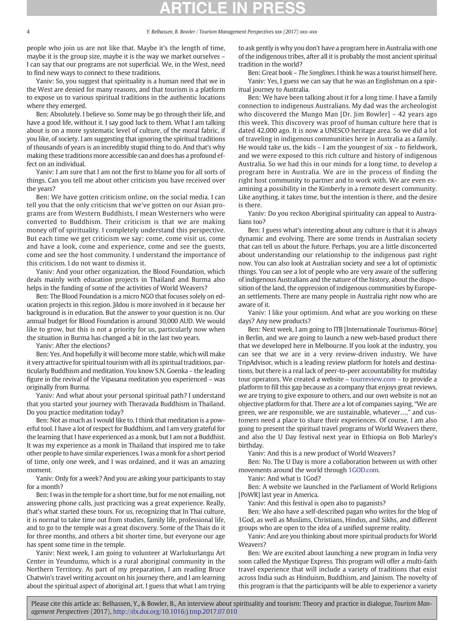people who join us are not like that. Maybe it's the length of time, maybe it is the group size, maybe it is the way we market ourselves – I can say that our programs are not superficial. We, in the West, need to find new ways to connect to these traditions.

Yaniv: So, you suggest that spirituality is a human need that we in the West are denied for many reasons, and that tourism is a platform to expose us to various spiritual traditions in the authentic locations where they emerged.

Ben: Absolutely. I believe so. Some may be go through their life, and have a good life, without it. I say good luck to them. What I am talking about is on a more systematic level of culture, of the moral fabric, if you like, of society. I am suggesting that ignoring the spiritual traditions of thousands of years is an incredibly stupid thing to do. And that's why making these traditions more accessible can and does has a profound effect on an individual.

Yaniv: I am sure that I am not the first to blame you for all sorts of things. Can you tell me about other criticism you have received over the years?

Ben: We have gotten criticism online, on the social media. I can tell you that the only criticism that we've gotten on our Asian programs are from Western Buddhists, I mean Westerners who were converted to Buddhism. Their criticism is that we are making money off of spirituality. I completely understand this perspective. But each time we get criticism we say: come, come visit us, come and have a look, come and experience, come and see the guests, come and see the host community. I understand the importance of this criticism. I do not want to dismiss it.

Yaniv: And your other organization, the Blood Foundation, which deals mainly with education projects in Thailand and Burma also helps in the funding of some of the activities of World Weavers?

Ben: The Blood Foundation is a micro NGO that focuses solely on education projects in this region. Jildou is more involved in it because her background is in education. But the answer to your question is no. Our annual budget for Blood Foundation is around 30,000 AUD. We would like to grow, but this is not a priority for us, particularly now when the situation in Burma has changed a bit in the last two years.

Yaniv: After the elections?

Ben: Yes. And hopefully it will become more stable, which will make it very attractive for spiritual tourism with all its spiritual traditions, particularly Buddhism and meditation. You know S.N. Goenka – the leading figure in the revival of the Vipasana meditation you experienced – was originally from Burma.

Yaniv: And what about your personal spiritual path? I understand that you started your journey with Theravada Buddhism in Thailand. Do you practice meditation today?

Ben: Not as much as I would like to. I think that meditation is a powerful tool. I have a lot of respect for Buddhism, and I am very grateful for the learning that I have experienced as a monk, but I am not a Buddhist. It was my experience as a monk in Thailand that inspired me to take other people to have similar experiences. I was a monk for a short period of time, only one week, and I was ordained, and it was an amazing moment.

Yaniv: Only for a week? And you are asking your participants to stay for a month?

Ben: I was in the temple for a short time, but for me not emailing, not answering phone calls, just practicing was a great experience. Really, that's what started these tours. For us, recognizing that In Thai culture, it is normal to take time out from studies, family life, professional life, and to go to the temple was a great discovery. Some of the Thais do it for three months, and others a bit shorter time, but everyone our age has spent some time in the temple.

Yaniv: Next week, I am going to volunteer at Warlukurlangu Art Center in Yeundumu, which is a rural aboriginal community in the Northern Territory. As part of my preparation, I am reading Bruce Chatwin's travel writing account on his journey there, and I am learning about the spiritual aspect of aboriginal art. I guess that what I am trying

to ask gently is why you don't have a program here in Australia with one of the indigenous tribes, after all it is probably the most ancient spiritual tradition in the world?

Ben: Great book – The Songlines. I think he was a tourist himself here. Yaniv: Yes, I guess we can say that he was an Englishman on a spiritual journey to Australia.

Ben: We have been talking about it for a long time. I have a family connection to indigenous Australians. My dad was the archeologist who discovered the Mungo Man [Dr. Jim Bowler] – 42 years ago this week. This discovery was proof of human culture here that is dated 42,000 ago. It is now a UNESCO heritage area. So we did a lot of traveling in indigenous communities here in Australia as a family. He would take us, the kids – I am the youngest of six – to fieldwork, and we were exposed to this rich culture and history of indigenous Australia. So we had this in our minds for a long time, to develop a program here in Australia. We are in the process of finding the right host community to partner and to work with. We are even examining a possibility in the Kimberly in a remote desert community. Like anything, it takes time, but the intention is there, and the desire is there.

Yaniv: Do you reckon Aboriginal spirituality can appeal to Australians too?

Ben: I guess what's interesting about any culture is that it is always dynamic and evolving. There are some trends in Australian society that can tell us about the future. Perhaps, you are a little disconcerted about understanding our relationship to the indigenous past right now. You can also look at Australian society and see a lot of optimistic things. You can see a lot of people who are very aware of the suffering of indigenous Australians and the nature of the history, about the disposition of the land, the oppression of indigenous communities by European settlements. There are many people in Australia right now who are aware of it.

Yaniv: I like your optimism. And what are you working on these days? Any new products?

Ben: Next week, I am going to ITB [Internationale Tourismus-Börse] in Berlin, and we are going to launch a new web-based product there that we developed here in Melbourne. If you look at the industry, you can see that we are in a very review-driven industry. We have TripAdvisor, which is a leading review platform for hotels and destinations, but there is a real lack of peer-to-peer accountability for multiday tour operators. We created a website – [tourreview.com](http://tourreview.com) – to provide a platform to fill this gap because as a company that enjoys great reviews, we are trying to give exposure to others, and our own website is not an objective platform for that. There are a lot of companies saying, "We are green, we are responsible, we are sustainable, whatever…," and customers need a place to share their experiences. Of course, I am also going to present the spiritual travel programs of World Weavers there, and also the U Day festival next year in Ethiopia on Bob Marley's birthday.

Yaniv: And this is a new product of World Weavers?

Ben: No. The U Day is more a collaboration between us with other movements around the world through [1GOD.com.](http://1GOD.com)

Yaniv: And what is 1God?

Ben: A website we launched in the Parliament of World Religions [PoWR] last year in America.

Yaniv: And this festival is open also to paganists?

Ben: We also have a self-described pagan who writes for the blog of 1God, as well as Muslims, Christians, Hindus, and Sikhs, and different groups who are open to the idea of a unified supreme reality.

Yaniv: And are you thinking about more spiritual products for World Weavers?

Ben: We are excited about launching a new program in India very soon called the Mystique Express. This program will offer a multi-faith travel experience that will include a variety of traditions that exist across India such as Hinduism, Buddhism, and Jainism. The novelty of this program is that the participants will be able to experience a variety

Please cite this article as: Belhassen, Y., & Bowler, B., An interview about spirituality and tourism: Theory and practice in dialogue, Tourism Management Perspectives (2017), <http://dx.doi.org/10.1016/j.tmp.2017.07.010>